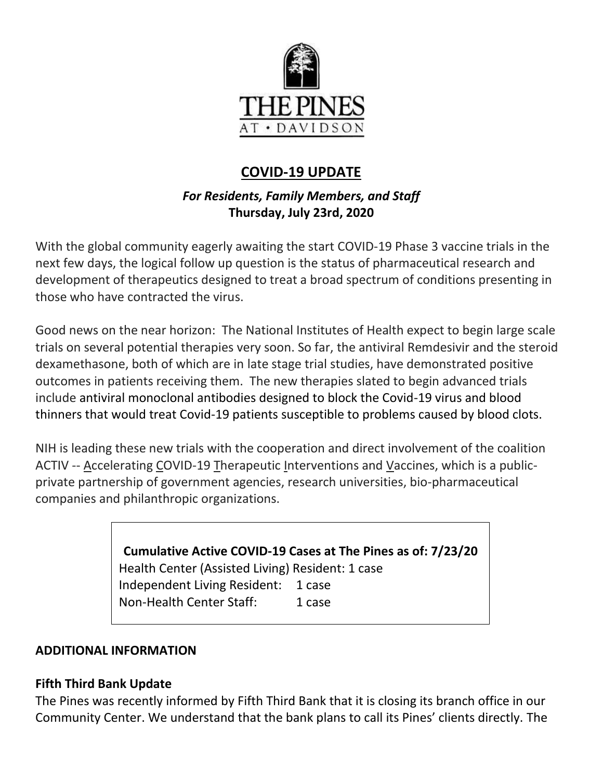

# **COVID-19 UPDATE**

### *For Residents, Family Members, and Staff* **Thursday, July 23rd, 2020**

With the global community eagerly awaiting the start COVID-19 Phase 3 vaccine trials in the next few days, the logical follow up question is the status of pharmaceutical research and development of therapeutics designed to treat a broad spectrum of conditions presenting in those who have contracted the virus.

Good news on the near horizon: The National Institutes of Health expect to begin large scale trials on several potential therapies very soon. So far, the antiviral Remdesivir and the steroid dexamethasone, both of which are in late stage trial studies, have demonstrated positive outcomes in patients receiving them. The new therapies slated to begin advanced trials include antiviral monoclonal antibodies designed to block the Covid-19 virus and blood thinners that would treat Covid-19 patients susceptible to problems caused by blood clots.

NIH is leading these new trials with the cooperation and direct involvement of the coalition ACTIV -- Accelerating COVID-19 Therapeutic Interventions and Vaccines, which is a publicprivate partnership of government agencies, research universities, bio-pharmaceutical companies and philanthropic organizations.

> **Cumulative Active COVID-19 Cases at The Pines as of: 7/23/20** Health Center (Assisted Living) Resident: 1 case Independent Living Resident: 1 case Non-Health Center Staff: 1 case

### **ADDITIONAL INFORMATION**

### **Fifth Third Bank Update**

The Pines was recently informed by Fifth Third Bank that it is closing its branch office in our Community Center. We understand that the bank plans to call its Pines' clients directly. The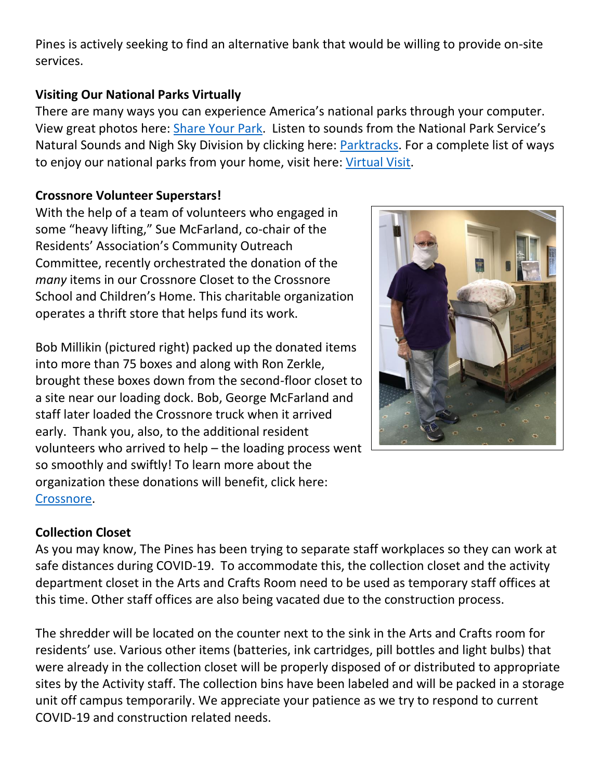Pines is actively seeking to find an alternative bank that would be willing to provide on-site services.

#### **Visiting Our National Parks Virtually**

There are many ways you can experience America's national parks through your computer. View great photos here: [Share Your Park](https://www.nationalparks.org/connect/share-your-park). Listen to sounds from the National Park Service's Natural Sounds and Nigh Sky Division by clicking here: [Parktracks.](https://findyourpark.com/about/news/parktracks) For a complete list of ways to enjoy our national parks from your home, visit here: [Virtual Visit.](https://www.nationalparks.org/connect/blog/take-virtual-visit-national-park)

#### **Crossnore Volunteer Superstars!**

With the help of a team of volunteers who engaged in some "heavy lifting," Sue McFarland, co-chair of the Residents' Association's Community Outreach Committee, recently orchestrated the donation of the *many* items in our Crossnore Closet to the Crossnore School and Children's Home. This charitable organization operates a thrift store that helps fund its work.

Bob Millikin (pictured right) packed up the donated items into more than 75 boxes and along with Ron Zerkle, brought these boxes down from the second-floor closet to a site near our loading dock. Bob, George McFarland and staff later loaded the Crossnore truck when it arrived early. Thank you, also, to the additional resident volunteers who arrived to help – the loading process went so smoothly and swiftly! To learn more about the organization these donations will benefit, click here: [Crossnore.](https://www.crossnore.org/)



### **Collection Closet**

As you may know, The Pines has been trying to separate staff workplaces so they can work at safe distances during COVID-19. To accommodate this, the collection closet and the activity department closet in the Arts and Crafts Room need to be used as temporary staff offices at this time. Other staff offices are also being vacated due to the construction process.

The shredder will be located on the counter next to the sink in the Arts and Crafts room for residents' use. Various other items (batteries, ink cartridges, pill bottles and light bulbs) that were already in the collection closet will be properly disposed of or distributed to appropriate sites by the Activity staff. The collection bins have been labeled and will be packed in a storage unit off campus temporarily. We appreciate your patience as we try to respond to current COVID-19 and construction related needs.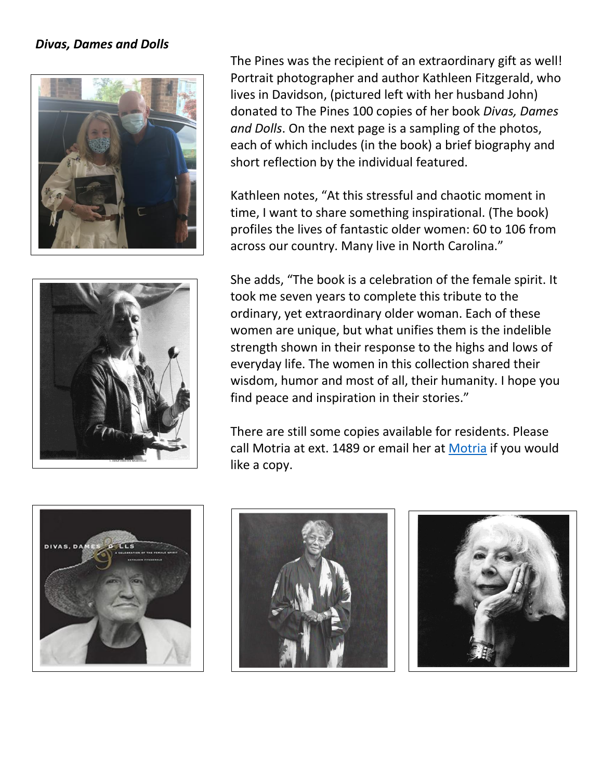#### *Divas, Dames and Dolls*





The Pines was the recipient of an extraordinary gift as well! Portrait photographer and author Kathleen Fitzgerald, who lives in Davidson, (pictured left with her husband John) donated to The Pines 100 copies of her book *Divas, Dames and Dolls*. On the next page is a sampling of the photos, each of which includes (in the book) a brief biography and short reflection by the individual featured.

Kathleen notes, "At this stressful and chaotic moment in time, I want to share something inspirational. (The book) profiles the lives of fantastic older women: 60 to 106 from across our country. Many live in North Carolina."

She adds, "The book is a celebration of the female spirit. It took me seven years to complete this tribute to the ordinary, yet extraordinary older woman. Each of these women are unique, but what unifies them is the indelible strength shown in their response to the highs and lows of everyday life. The women in this collection shared their wisdom, humor and most of all, their humanity. I hope you find peace and inspiration in their stories."

There are still some copies available for residents. Please call [Motria](mailto:mprocyk@thepinesatdavidson.org?subject=Requesting%20a%20copy) at ext. 1489 or email her at Motria if you would like a copy.